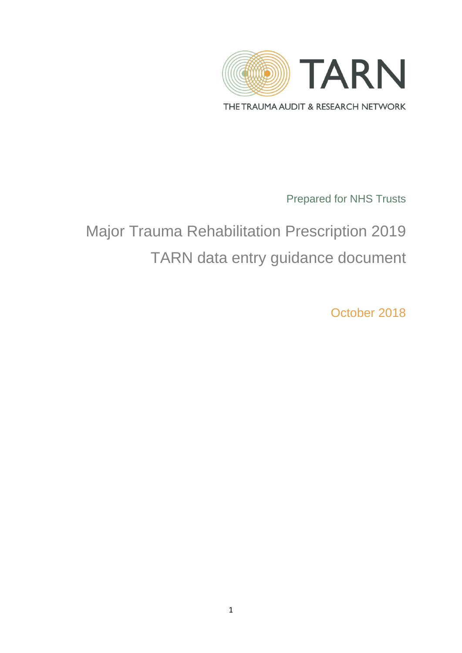

THE TRAUMA AUDIT & RESEARCH NETWORK

Prepared for NHS Trusts

# Major Trauma Rehabilitation Prescription 2019 TARN data entry guidance document

October 2018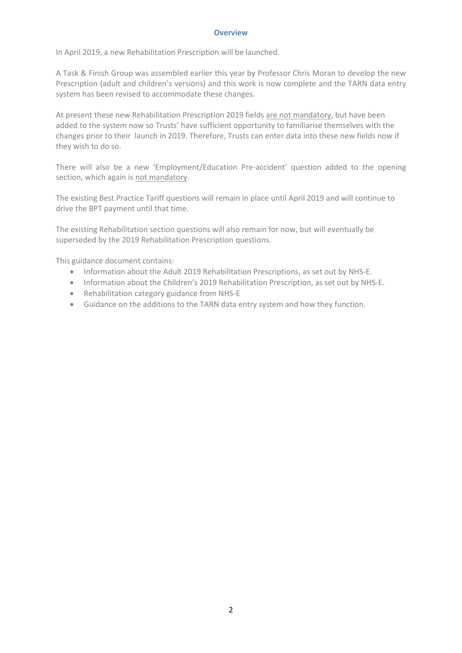#### **Overview**

In April 2019, a new Rehabilitation Prescription will be launched.

A Task & Finish Group was assembled earlier this year by Professor Chris Moran to develop the new Prescription (adult and children's versions) and this work is now complete and the TARN data entry system has been revised to accommodate these changes.

At present these new Rehabilitation Prescription 2019 fields are not mandatory, but have been added to the system now so Trusts' have sufficient opportunity to familiarise themselves with the changes prior to their launch in 2019. Therefore, Trusts can enter data into these new fields now if they wish to do so.

There will also be a new 'Employment/Education Pre-accident' question added to the opening section, which again is not mandatory.

The existing Best Practice Tariff questions will remain in place until April 2019 and will continue to drive the BPT payment until that time.

The existing Rehabilitation section questions will also remain for now, but will eventually be superseded by the 2019 Rehabilitation Prescription questions.

This guidance document contains:

- Information about the Adult 2019 Rehabilitation Prescriptions, as set out by NHS-E.
- Information about the Children's 2019 Rehabilitation Prescription, as set out by NHS-E.
- Rehabilitation category guidance from NHS-E
- Guidance on the additions to the TARN data entry system and how they function.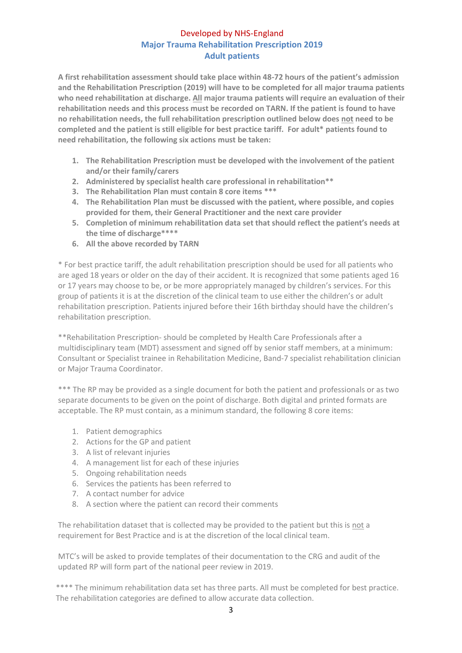# Developed by NHS-England **Major Trauma Rehabilitation Prescription 2019 Adult patients**

**A first rehabilitation assessment should take place within 48-72 hours of the patient's admission and the Rehabilitation Prescription (2019) will have to be completed for all major trauma patients who need rehabilitation at discharge. All major trauma patients will require an evaluation of their rehabilitation needs and this process must be recorded on TARN. If the patient is found to have no rehabilitation needs, the full rehabilitation prescription outlined below does not need to be completed and the patient is still eligible for best practice tariff. For adult\* patients found to need rehabilitation, the following six actions must be taken:**

- **1. The Rehabilitation Prescription must be developed with the involvement of the patient and/or their family/carers**
- **2. Administered by specialist health care professional in rehabilitation\*\***
- **3. The Rehabilitation Plan must contain 8 core items \*\*\***
- **4. The Rehabilitation Plan must be discussed with the patient, where possible, and copies provided for them, their General Practitioner and the next care provider**
- **5. Completion of minimum rehabilitation data set that should reflect the patient's needs at the time of discharge\*\*\*\***
- **6. All the above recorded by TARN**

\* For best practice tariff, the adult rehabilitation prescription should be used for all patients who are aged 18 years or older on the day of their accident. It is recognized that some patients aged 16 or 17 years may choose to be, or be more appropriately managed by children's services. For this group of patients it is at the discretion of the clinical team to use either the children's or adult rehabilitation prescription. Patients injured before their 16th birthday should have the children's rehabilitation prescription.

\*\*Rehabilitation Prescription- should be completed by Health Care Professionals after a multidisciplinary team (MDT) assessment and signed off by senior staff members, at a minimum: Consultant or Specialist trainee in Rehabilitation Medicine, Band-7 specialist rehabilitation clinician or Major Trauma Coordinator.

\*\*\* The RP may be provided as a single document for both the patient and professionals or as two separate documents to be given on the point of discharge. Both digital and printed formats are acceptable. The RP must contain, as a minimum standard, the following 8 core items:

- 1. Patient demographics
- 2. Actions for the GP and patient
- 3. A list of relevant injuries
- 4. A management list for each of these injuries
- 5. Ongoing rehabilitation needs
- 6. Services the patients has been referred to
- 7. A contact number for advice
- 8. A section where the patient can record their comments

The rehabilitation dataset that is collected may be provided to the patient but this is not a requirement for Best Practice and is at the discretion of the local clinical team.

MTC's will be asked to provide templates of their documentation to the CRG and audit of the updated RP will form part of the national peer review in 2019.

\*\*\*\* The minimum rehabilitation data set has three parts. All must be completed for best practice. The rehabilitation categories are defined to allow accurate data collection.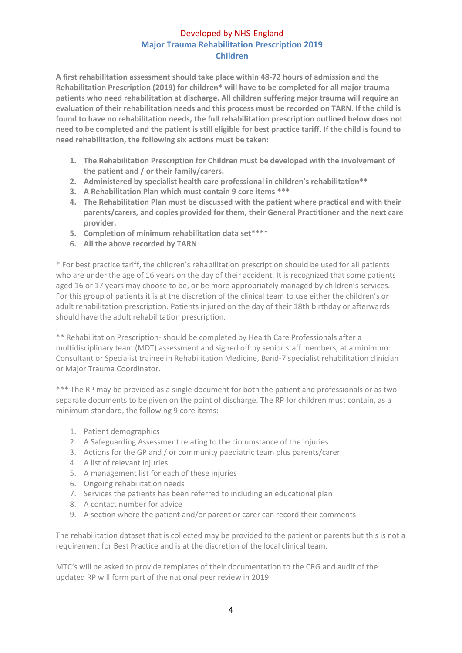# Developed by NHS-England **Major Trauma Rehabilitation Prescription 2019 Children**

**A first rehabilitation assessment should take place within 48-72 hours of admission and the Rehabilitation Prescription (2019) for children\* will have to be completed for all major trauma patients who need rehabilitation at discharge. All children suffering major trauma will require an evaluation of their rehabilitation needs and this process must be recorded on TARN. If the child is found to have no rehabilitation needs, the full rehabilitation prescription outlined below does not need to be completed and the patient is still eligible for best practice tariff. If the child is found to need rehabilitation, the following six actions must be taken:**

- **1. The Rehabilitation Prescription for Children must be developed with the involvement of the patient and / or their family/carers.**
- **2. Administered by specialist health care professional in children's rehabilitation\*\***
- **3. A Rehabilitation Plan which must contain 9 core items \*\*\***
- **4. The Rehabilitation Plan must be discussed with the patient where practical and with their parents/carers, and copies provided for them, their General Practitioner and the next care provider.**
- **5. Completion of minimum rehabilitation data set\*\*\*\***
- **6. All the above recorded by TARN**

\* For best practice tariff, the children's rehabilitation prescription should be used for all patients who are under the age of 16 years on the day of their accident. It is recognized that some patients aged 16 or 17 years may choose to be, or be more appropriately managed by children's services. For this group of patients it is at the discretion of the clinical team to use either the children's or adult rehabilitation prescription. Patients injured on the day of their 18th birthday or afterwards should have the adult rehabilitation prescription.

. \*\* Rehabilitation Prescription- should be completed by Health Care Professionals after a multidisciplinary team (MDT) assessment and signed off by senior staff members, at a minimum: Consultant or Specialist trainee in Rehabilitation Medicine, Band-7 specialist rehabilitation clinician or Major Trauma Coordinator.

\*\*\* The RP may be provided as a single document for both the patient and professionals or as two separate documents to be given on the point of discharge. The RP for children must contain, as a minimum standard, the following 9 core items:

- 1. Patient demographics
- 2. A Safeguarding Assessment relating to the circumstance of the injuries
- 3. Actions for the GP and / or community paediatric team plus parents/carer
- 4. A list of relevant injuries
- 5. A management list for each of these injuries
- 6. Ongoing rehabilitation needs
- 7. Services the patients has been referred to including an educational plan
- 8. A contact number for advice
- 9. A section where the patient and/or parent or carer can record their comments

The rehabilitation dataset that is collected may be provided to the patient or parents but this is not a requirement for Best Practice and is at the discretion of the local clinical team.

MTC's will be asked to provide templates of their documentation to the CRG and audit of the updated RP will form part of the national peer review in 2019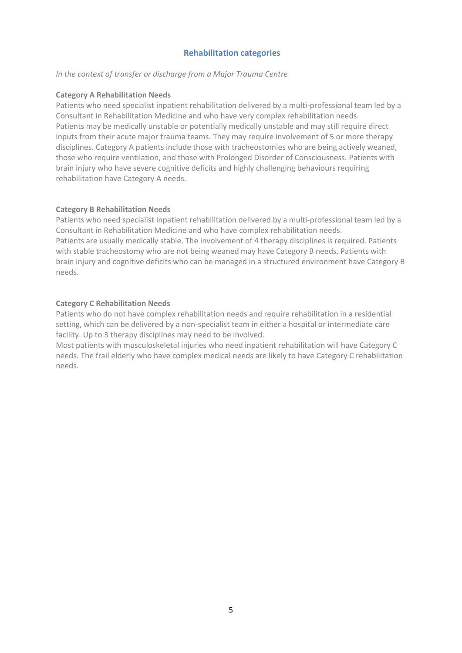# **Rehabilitation categories**

#### *In the context of transfer or discharge from a Major Trauma Centre*

#### **Category A Rehabilitation Needs**

Patients who need specialist inpatient rehabilitation delivered by a multi-professional team led by a Consultant in Rehabilitation Medicine and who have very complex rehabilitation needs. Patients may be medically unstable or potentially medically unstable and may still require direct inputs from their acute major trauma teams. They may require involvement of 5 or more therapy disciplines. Category A patients include those with tracheostomies who are being actively weaned, those who require ventilation, and those with Prolonged Disorder of Consciousness. Patients with brain injury who have severe cognitive deficits and highly challenging behaviours requiring rehabilitation have Category A needs.

#### **Category B Rehabilitation Needs**

Patients who need specialist inpatient rehabilitation delivered by a multi-professional team led by a Consultant in Rehabilitation Medicine and who have complex rehabilitation needs. Patients are usually medically stable. The involvement of 4 therapy disciplines is required. Patients with stable tracheostomy who are not being weaned may have Category B needs. Patients with brain injury and cognitive deficits who can be managed in a structured environment have Category B needs.

#### **Category C Rehabilitation Needs**

Patients who do not have complex rehabilitation needs and require rehabilitation in a residential setting, which can be delivered by a non-specialist team in either a hospital or intermediate care facility. Up to 3 therapy disciplines may need to be involved.

Most patients with musculoskeletal injuries who need inpatient rehabilitation will have Category C needs. The frail elderly who have complex medical needs are likely to have Category C rehabilitation needs.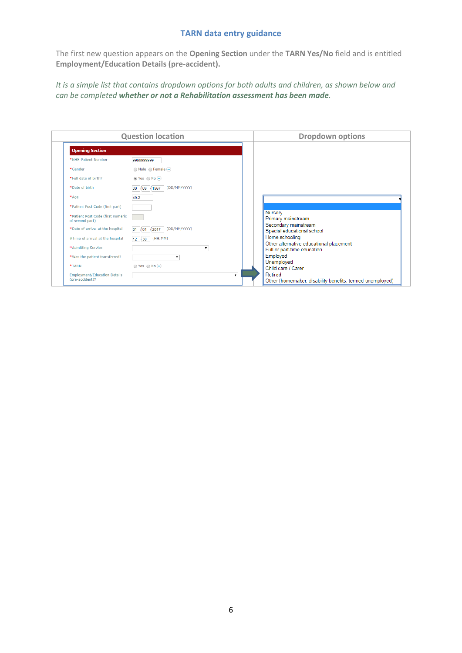The first new question appears on the **Opening Section** under the **TARN Yes/No** field and is entitled **Employment/Education Details (pre-accident).** 

*It is a simple list that contains dropdown options for both adults and children, as shown below and can be completed whether or not a Rehabilitation assessment has been made.* 

| <b>Question location</b>                               |                                              |    | <b>Dropdown options</b>                                                                                                                                    |
|--------------------------------------------------------|----------------------------------------------|----|------------------------------------------------------------------------------------------------------------------------------------------------------------|
| <b>Opening Section</b>                                 |                                              |    |                                                                                                                                                            |
| *NHS Patient Number                                    | 9999999999                                   |    |                                                                                                                                                            |
| *Gender                                                | $\bigcirc$ Male $\bigcirc$ Female $\bigcirc$ |    |                                                                                                                                                            |
| *Full date of birth?                                   | $\odot$ Yes $\odot$ No $\ominus$             |    |                                                                                                                                                            |
| *Date of birth                                         | (DD/MM/YYYY)<br>/09 /1967<br>30              |    |                                                                                                                                                            |
| $*Aqe$                                                 | 49.2                                         |    |                                                                                                                                                            |
| *Patient Post Code (first part)                        |                                              |    |                                                                                                                                                            |
| *Patient Post Code (first numeric<br>of second part)   |                                              |    | Nursery<br>Primary mainstream                                                                                                                              |
| *Date of arrival at the hospital                       | (DD/MM/YYYY)<br>$\sqrt{01}$ /2017<br>01      |    | Secondary mainstream<br>Special educational school<br>Home schooling<br>Other alternative educational placement<br>Full or part-time education<br>Employed |
| #Time of arrival at the hospital                       | (HH:MM)<br>$12 \div 30$                      |    |                                                                                                                                                            |
| *Admitting Service                                     |                                              |    |                                                                                                                                                            |
| *Was the patient transferred?                          | ۷.                                           |    |                                                                                                                                                            |
| *TARN                                                  | $\bigcirc$ Yes $\bigcirc$ No $\bigcirc$      |    | Unemployed<br>Child care / Carer                                                                                                                           |
| <b>Employment/Education Details</b><br>(pre-accident)? |                                              | ۷. | Retired<br>Other (homemaker, disability benefits, termed unemployed)                                                                                       |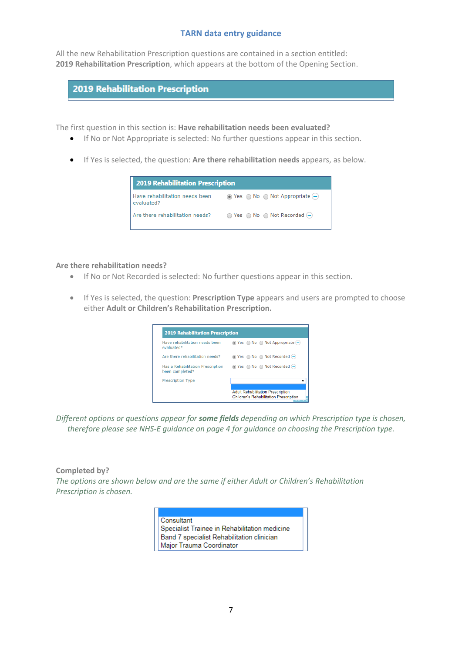All the new Rehabilitation Prescription questions are contained in a section entitled: **2019 Rehabilitation Prescription**, which appears at the bottom of the Opening Section.

# **2019 Rehabilitation Prescription**

The first question in this section is: **Have rehabilitation needs been evaluated?**

- If No or Not Appropriate is selected: No further questions appear in this section.
- If Yes is selected, the question: **Are there rehabilitation needs** appears, as below.



#### **Are there rehabilitation needs?**

- If No or Not Recorded is selected: No further questions appear in this section.
- If Yes is selected, the question: **Prescription Type** appears and users are prompted to choose either **Adult or Children's Rehabilitation Prescription.**

| 2019 Rehabilitation Prescription                     |                                                                                           |  |  |  |
|------------------------------------------------------|-------------------------------------------------------------------------------------------|--|--|--|
| Have rehabilitation needs been<br>evaluated?         | $\odot$ Yes $\odot$ No $\odot$ Not Appropriate $\left(\rightarrow\right)$                 |  |  |  |
| Are there rehabilitation needs?                      |                                                                                           |  |  |  |
| Has a Rehabilitation Prescription<br>been completed? | $\odot$ Yes $\odot$ No $\odot$ Not Recorded $\odot$                                       |  |  |  |
| <b>Prescription Type</b>                             |                                                                                           |  |  |  |
|                                                      | <b>Adult Rehabilitation Prescription</b><br><b>Children's Rehabilitation Prescription</b> |  |  |  |

*Different options or questions appear for some fields depending on which Prescription type is chosen, therefore please see NHS-E guidance on page 4 for guidance on choosing the Prescription type.*

## **Completed by?**

*The options are shown below and are the same if either Adult or Children's Rehabilitation Prescription is chosen.* 

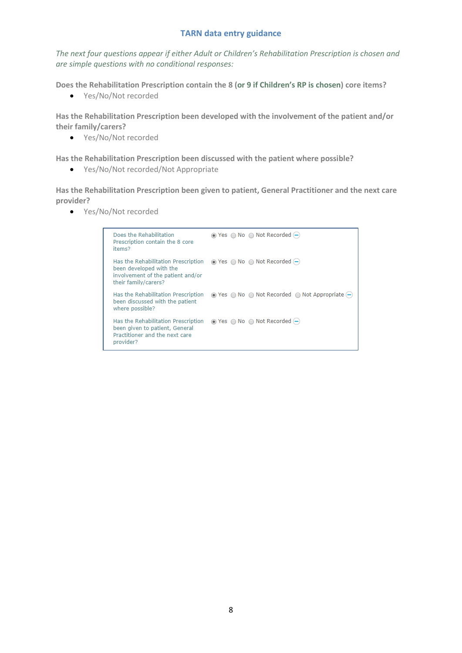*The next four questions appear if either Adult or Children's Rehabilitation Prescription is chosen and are simple questions with no conditional responses:* 

**Does the Rehabilitation Prescription contain the 8 (or 9 if Children's RP is chosen) core items?**

• Yes/No/Not recorded

**Has the Rehabilitation Prescription been developed with the involvement of the patient and/or their family/carers?**

Yes/No/Not recorded

**Has the Rehabilitation Prescription been discussed with the patient where possible?**

Yes/No/Not recorded/Not Appropriate

**Has the Rehabilitation Prescription been given to patient, General Practitioner and the next care provider?**

Yes/No/Not recorded

| Does the Rehabilitation<br>Prescription contain the 8 core<br>items?                                                                                                            | $\odot$ Yes $\odot$ No $\odot$ Not Recorded $\odot$                                            |
|---------------------------------------------------------------------------------------------------------------------------------------------------------------------------------|------------------------------------------------------------------------------------------------|
| Has the Rehabilitation Prescription $\odot$ Yes $\odot$ No $\odot$ Not Recorded $\odot$<br>been developed with the<br>involvement of the patient and/or<br>their family/carers? |                                                                                                |
| Has the Rehabilitation Prescription<br>been discussed with the patient<br>where possible?                                                                                       | $\odot$ Yes $\odot$ No $\odot$ Not Recorded $\odot$ Not Appropriate $\left(\rightarrow\right)$ |
| Has the Rehabilitation Prescription<br>been given to patient, General<br>Practitioner and the next care<br>provider?                                                            | $\odot$ Yes $\odot$ No $\odot$ Not Recorded $\odot$                                            |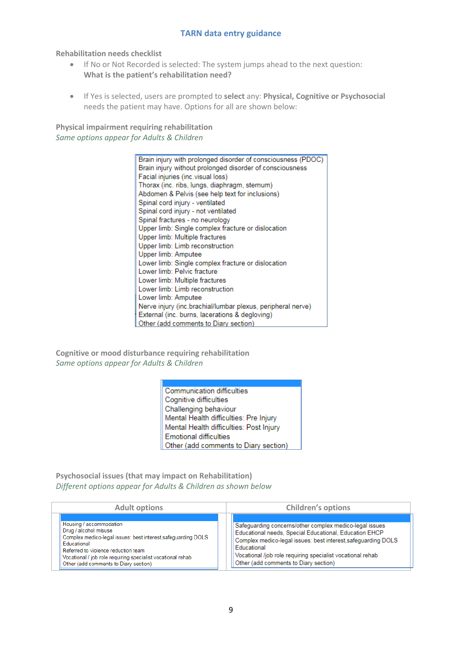**Rehabilitation needs checklist** 

- If No or Not Recorded is selected: The system jumps ahead to the next question: **What is the patient's rehabilitation need?**
- If Yes is selected, users are prompted to **select** any: **Physical, Cognitive or Psychosocial** needs the patient may have. Options for all are shown below:

**Physical impairment requiring rehabilitation** *Same options appear for Adults & Children*

> Brain injury with prolonged disorder of consciousness (PDOC) Brain injury without prolonged disorder of consciousness Facial injuries (inc. visual loss) Thorax (inc. ribs. lungs, diaphragm, sternum) Abdomen & Pelvis (see help text for inclusions) Spinal cord injury - ventilated Spinal cord injury - not ventilated Spinal fractures - no neurology Upper limb: Single complex fracture or dislocation Upper limb: Multiple fractures Upper limb: Limb reconstruction Upper limb: Amputee Lower limb: Single complex fracture or dislocation Lower limb: Pelvic fracture Lower limb: Multiple fractures Lower limb: Limb reconstruction Lower limb: Amputee Nerve injury (inc.brachial/lumbar plexus, peripheral nerve) External (inc. burns, lacerations & degloving) Other (add comments to Diary section)

**Cognitive or mood disturbance requiring rehabilitation** *Same options appear for Adults & Children*

> **Communication difficulties** Cognitive difficulties Challenging behaviour Mental Health difficulties: Pre Injury Mental Health difficulties: Post Injury **Emotional difficulties** Other (add comments to Diary section)

**Psychosocial issues (that may impact on Rehabilitation)** *Different options appear for Adults & Children as shown below* 

| <b>Adult options</b>                                                                                                                                                                                                                                                            | <b>Children's options</b>                                                                                                                                                                                                                                                                                |  |
|---------------------------------------------------------------------------------------------------------------------------------------------------------------------------------------------------------------------------------------------------------------------------------|----------------------------------------------------------------------------------------------------------------------------------------------------------------------------------------------------------------------------------------------------------------------------------------------------------|--|
| Housing / accommodation<br>Drug / alcohol misuse<br>Complex medico-legal issues: best interest, safeguarding DOLS<br>Educational<br>Referred to violence reduction team<br>Vocational / job role requiring specialist vocational rehab<br>Other (add comments to Diary section) | Safeguarding concerns/other complex medico-legal issues<br>Educational needs, Special Educational, Education EHCP<br>Complex medico-legal issues: best interest, safeguarding DOLS<br>Educational<br>Vocational /job role requiring specialist vocational rehab<br>Other (add comments to Diary section) |  |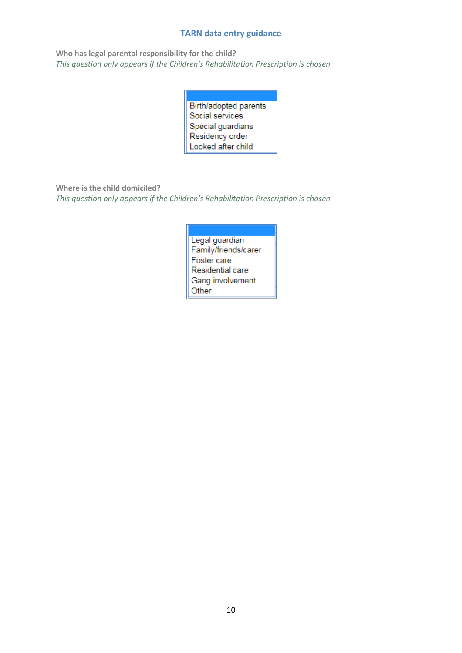**Who has legal parental responsibility for the child?** *This question only appears if the Children's Rehabilitation Prescription is chosen* 

| Birth/adopted parents |  |  |
|-----------------------|--|--|
| Social services       |  |  |
| Special guardians     |  |  |
| Residency order       |  |  |
| Looked after child    |  |  |

**Where is the child domiciled?**

*This question only appears if the Children's Rehabilitation Prescription is chosen* 

Legal guardian Family/friends/carer Foster care Residential care Gang involvement Other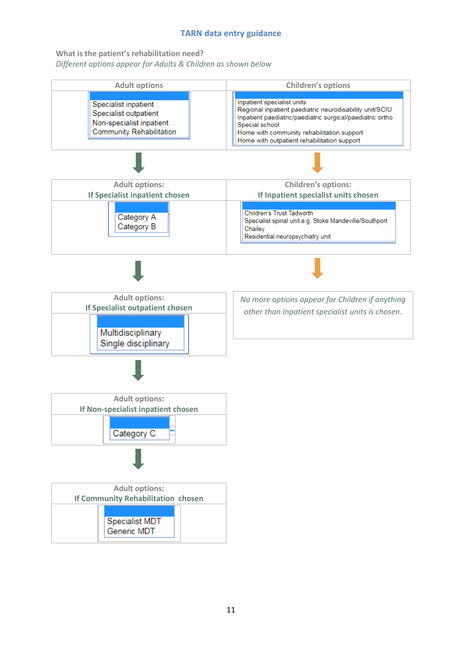**What is the patient's rehabilitation need?** *Different options appear for Adults & Children as shown below*